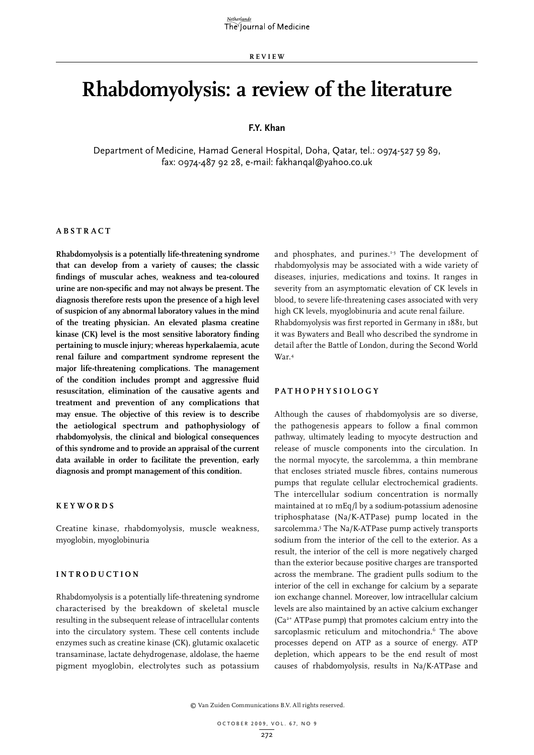**REVIEW**

# **Rhabdomyolysis: a review of the literature**

# **F.Y. Khan**

Department of Medicine, Hamad General Hospital, Doha, Qatar, tel.: 0974-527 59 89, fax: 0974-487 92 28, e-mail: fakhanqal@yahoo.co.uk

# **A bstra c t**

**Rhabdomyolysis is a potentially life-threatening syndrome that can develop from a variety of causes; the classic findings of muscular aches, weakness and tea-coloured urine are non-specific and may not always be present. The diagnosis therefore rests upon the presence of a high level of suspicion of any abnormal laboratory values in the mind of the treating physician. An elevated plasma creatine kinase (CK) level is the most sensitive laboratory finding pertaining to muscle injury; whereas hyperkalaemia, acute renal failure and compartment syndrome represent the major life-threatening complications. The management of the condition includes prompt and aggressive fluid resuscitation, elimination of the causative agents and treatment and prevention of any complications that may ensue. The objective of this review is to describe the aetiological spectrum and pathophysiology of rhabdomyolysis, the clinical and biological consequences of this syndrome and to provide an appraisal of the current data available in order to facilitate the prevention, early diagnosis and prompt management of this condition.**

### **Keywords**

Creatine kinase, rhabdomyolysis, muscle weakness, myoglobin, myoglobinuria

# $INTRODUCTION$

Rhabdomyolysis is a potentially life-threatening syndrome characterised by the breakdown of skeletal muscle resulting in the subsequent release of intracellular contents into the circulatory system. These cell contents include enzymes such as creatine kinase (CK), glutamic oxalacetic transaminase, lactate dehydrogenase, aldolase, the haeme pigment myoglobin, electrolytes such as potassium and phosphates, and purines.<sup>1-3</sup> The development of rhabdomyolysis may be associated with a wide variety of diseases, injuries, medications and toxins. It ranges in severity from an asymptomatic elevation of CK levels in blood, to severe life-threatening cases associated with very high CK levels, myoglobinuria and acute renal failure. Rhabdomyolysis was first reported in Germany in 1881, but

it was Bywaters and Beall who described the syndrome in detail after the Battle of London, during the Second World War.4

# **Pathophysiology**

Although the causes of rhabdomyolysis are so diverse, the pathogenesis appears to follow a final common pathway, ultimately leading to myocyte destruction and release of muscle components into the circulation. In the normal myocyte, the sarcolemma, a thin membrane that encloses striated muscle fibres, contains numerous pumps that regulate cellular electrochemical gradients. The intercellular sodium concentration is normally maintained at 10 mEq/l by a sodium-potassium adenosine triphosphatase (Na/K-ATPase) pump located in the sarcolemma.<sup>5</sup> The Na/K-ATPase pump actively transports sodium from the interior of the cell to the exterior. As a result, the interior of the cell is more negatively charged than the exterior because positive charges are transported across the membrane. The gradient pulls sodium to the interior of the cell in exchange for calcium by a separate ion exchange channel. Moreover, low intracellular calcium levels are also maintained by an active calcium exchanger (Ca2+ ATPase pump) that promotes calcium entry into the sarcoplasmic reticulum and mitochondria.<sup>6</sup> The above processes depend on ATP as a source of energy. ATP depletion, which appears to be the end result of most causes of rhabdomyolysis, results in Na/K-ATPase and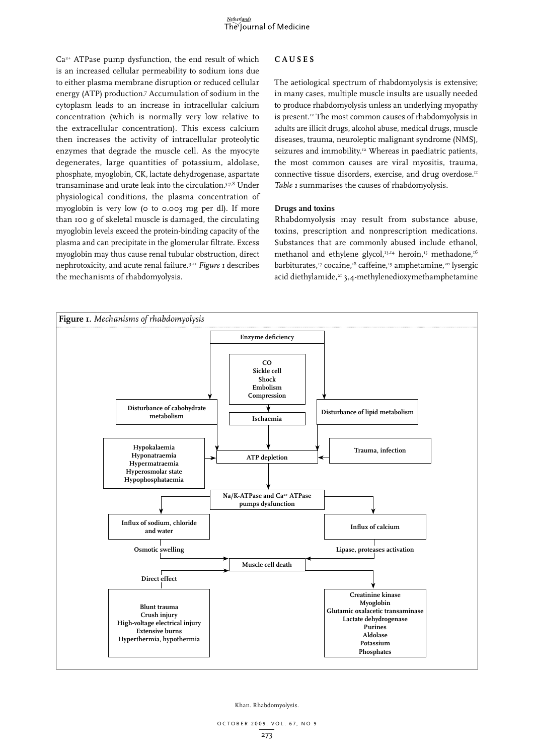Ca2+ ATPase pump dysfunction, the end result of which is an increased cellular permeability to sodium ions due to either plasma membrane disruption or reduced cellular energy (ATP) production.7 Accumulation of sodium in the cytoplasm leads to an increase in intracellular calcium concentration (which is normally very low relative to the extracellular concentration). This excess calcium then increases the activity of intracellular proteolytic enzymes that degrade the muscle cell. As the myocyte degenerates, large quantities of potassium, aldolase, phosphate, myoglobin, CK, lactate dehydrogenase, aspartate transaminase and urate leak into the circulation.5,7,8 Under physiological conditions, the plasma concentration of myoglobin is very low (0 to 0.003 mg per dl). If more than 100 g of skeletal muscle is damaged, the circulating myoglobin levels exceed the protein-binding capacity of the plasma and can precipitate in the glomerular filtrate. Excess myoglobin may thus cause renal tubular obstruction, direct nephrotoxicity, and acute renal failure.9-11 *Figure 1* describes the mechanisms of rhabdomyolysis.

# **Causes**

The aetiological spectrum of rhabdomyolysis is extensive; in many cases, multiple muscle insults are usually needed to produce rhabdomyolysis unless an underlying myopathy is present.<sup>12</sup> The most common causes of rhabdomyolysis in adults are illicit drugs, alcohol abuse, medical drugs, muscle diseases, trauma, neuroleptic malignant syndrome (NMS), seizures and immobility.<sup>12</sup> Whereas in paediatric patients, the most common causes are viral myositis, trauma, connective tissue disorders, exercise, and drug overdose.<sup>11</sup> *Table 1* summarises the causes of rhabdomyolysis.

# **Drugs and toxins**

Rhabdomyolysis may result from substance abuse, toxins, prescription and nonprescription medications. Substances that are commonly abused include ethanol, methanol and ethylene glycol,<sup>13,14</sup> heroin,<sup>15</sup> methadone,<sup>16</sup> barbiturates,<sup>17</sup> cocaine,<sup>18</sup> caffeine,<sup>19</sup> amphetamine,<sup>20</sup> lysergic acid diethylamide,<sup>21</sup> 3,4-methylenedioxymethamphetamine

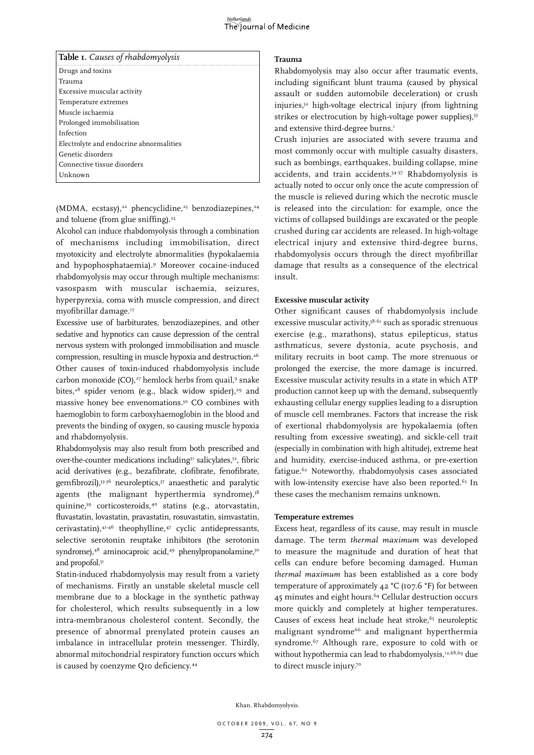#### <u>Netherlands</u> The Journal of Medicine

| Table I. Causes of rhabdomyolysis       |
|-----------------------------------------|
| Drugs and toxins                        |
| Trauma                                  |
| Excessive muscular activity             |
| Temperature extremes                    |
| Muscle ischaemia                        |
| Prolonged immobilisation                |
| Infection                               |
| Electrolyte and endocrine abnormalities |
| Genetic disorders                       |
| Connective tissue disorders             |
| Unknown                                 |

(MDMA, ecstasy),<sup>22</sup> phencyclidine,<sup>23</sup> benzodiazepines,<sup>24</sup> and toluene (from glue sniffing).<sup>25</sup>

Alcohol can induce rhabdomyolysis through a combination of mechanisms including immobilisation, direct myotoxicity and electrolyte abnormalities (hypokalaemia and hypophosphataemia).9 Moreover cocaine-induced rhabdomyolysis may occur through multiple mechanisms: vasospasm with muscular ischaemia, seizures, hyperpyrexia, coma with muscle compression, and direct myofibrillar damage.17

Excessive use of barbiturates, benzodiazepines, and other sedative and hypnotics can cause depression of the central nervous system with prolonged immobilisation and muscle compression, resulting in muscle hypoxia and destruction.26 Other causes of toxin-induced rhabdomyolysis include carbon monoxide (CO), $27$  hemlock herbs from quail, $9$  snake bites,<sup>28</sup> spider venom (e.g., black widow spider),<sup>29</sup> and massive honey bee envenomations.<sup>30</sup> CO combines with haemoglobin to form carboxyhaemoglobin in the blood and prevents the binding of oxygen, so causing muscle hypoxia and rhabdomyolysis.

Rhabdomyolysis may also result from both prescribed and over-the-counter medications including<sup>31</sup> salicylates,<sup>32</sup>, fibric acid derivatives (e.g., bezafibrate, clofibrate, fenofibrate, gemfibrozil),33-36 neuroleptics,37 anaesthetic and paralytic agents (the malignant hyperthermia syndrome),<sup>38</sup> quinine,39 corticosteroids,40 statins (e.g., atorvastatin, fluvastatin, lovastatin, pravastatin, rosuvastatin, simvastatin, cerivastatin),41-46 theophylline,47 cyclic antidepressants, selective serotonin reuptake inhibitors (the serotonin syndrome),<sup>48</sup> aminocaproic acid,<sup>49</sup> phenylpropanolamine,<sup>50</sup> and propofol.<sup>51</sup>

Statin-induced rhabdomyolysis may result from a variety of mechanisms. Firstly an unstable skeletal muscle cell membrane due to a blockage in the synthetic pathway for cholesterol, which results subsequently in a low intra-membranous cholesterol content. Secondly, the presence of abnormal prenylated protein causes an imbalance in intracellular protein messenger. Thirdly, abnormal mitochondrial respiratory function occurs which is caused by coenzyme Q10 deficiency.44

# **Trauma**

Rhabdomyolysis may also occur after traumatic events, including significant blunt trauma (caused by physical assault or sudden automobile deceleration) or crush injuries,52 high-voltage electrical injury (from lightning strikes or electrocution by high-voltage power supplies),<sup>53</sup> and extensive third-degree burns.<sup>1</sup>

Crush injuries are associated with severe trauma and most commonly occur with multiple casualty disasters, such as bombings, earthquakes, building collapse, mine accidents, and train accidents.54-57 Rhabdomyolysis is actually noted to occur only once the acute compression of the muscle is relieved during which the necrotic muscle is released into the circulation: for example, once the victims of collapsed buildings are excavated or the people crushed during car accidents are released. In high-voltage electrical injury and extensive third-degree burns, rhabdomyolysis occurs through the direct myofibrillar damage that results as a consequence of the electrical insult.

# **Excessive muscular activity**

Other significant causes of rhabdomyolysis include excessive muscular activity,<sup>58-61</sup> such as sporadic strenuous exercise (e.g., marathons), status epilepticus, status asthmaticus, severe dystonia, acute psychosis, and military recruits in boot camp. The more strenuous or prolonged the exercise, the more damage is incurred. Excessive muscular activity results in a state in which ATP production cannot keep up with the demand, subsequently exhausting cellular energy supplies leading to a disruption of muscle cell membranes. Factors that increase the risk of exertional rhabdomyolysis are hypokalaemia (often resulting from excessive sweating), and sickle-cell trait (especially in combination with high altitude), extreme heat and humidity, exercise-induced asthma, or pre-exertion fatigue.<sup>62</sup> Noteworthy, rhabdomyolysis cases associated with low-intensity exercise have also been reported.<sup>63</sup> In these cases the mechanism remains unknown.

# **Temperature extremes**

Excess heat, regardless of its cause, may result in muscle damage. The term *thermal maximum* was developed to measure the magnitude and duration of heat that cells can endure before becoming damaged. Human *thermal maximum* has been established as a core body temperature of approximately  $42 °C$  (107.6 °F) for between 45 minutes and eight hours.64 Cellular destruction occurs more quickly and completely at higher temperatures. Causes of excess heat include heat stroke,<sup>65</sup> neuroleptic malignant syndrome<sup>66</sup> and malignant hyperthermia syndrome.67 Although rare, exposure to cold with or without hypothermia can lead to rhabdomyolysis,<sup>12,68,69</sup> due to direct muscle injury.70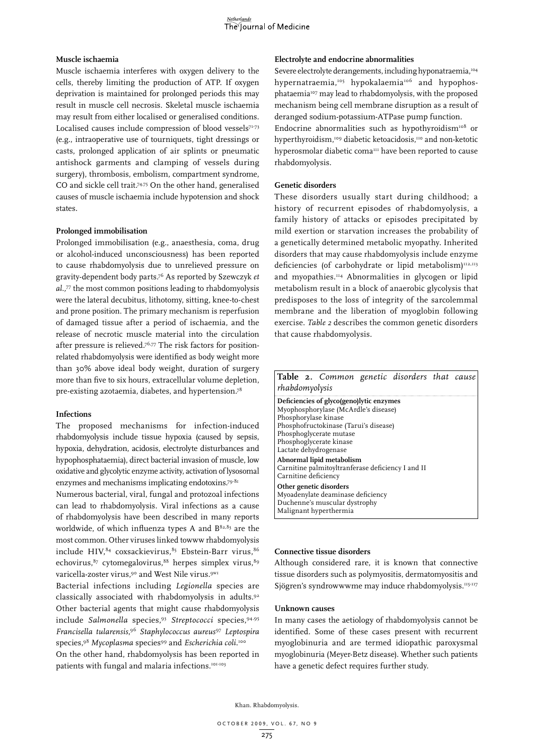# **Muscle ischaemia**

Muscle ischaemia interferes with oxygen delivery to the cells, thereby limiting the production of ATP. If oxygen deprivation is maintained for prolonged periods this may result in muscle cell necrosis. Skeletal muscle ischaemia may result from either localised or generalised conditions. Localised causes include compression of blood vessels $71-73$ (e.g., intraoperative use of tourniquets, tight dressings or casts, prolonged application of air splints or pneumatic antishock garments and clamping of vessels during surgery), thrombosis, embolism, compartment syndrome, CO and sickle cell trait.<sup>74,75</sup> On the other hand, generalised causes of muscle ischaemia include hypotension and shock states.

# **Prolonged immobilisation**

Prolonged immobilisation (e.g., anaesthesia, coma, drug or alcohol-induced unconsciousness) has been reported to cause rhabdomyolysis due to unrelieved pressure on gravity-dependent body parts.76 As reported by Szewczyk *et al.,*77 the most common positions leading to rhabdomyolysis were the lateral decubitus, lithotomy, sitting, knee-to-chest and prone position. The primary mechanism is reperfusion of damaged tissue after a period of ischaemia, and the release of necrotic muscle material into the circulation after pressure is relieved.<sup>76,77</sup> The risk factors for positionrelated rhabdomyolysis were identified as body weight more than 30% above ideal body weight, duration of surgery more than five to six hours, extracellular volume depletion, pre-existing azotaemia, diabetes, and hypertension.78

### **Infections**

The proposed mechanisms for infection-induced rhabdomyolysis include tissue hypoxia (caused by sepsis, hypoxia, dehydration, acidosis, electrolyte disturbances and hypophosphataemia), direct bacterial invasion of muscle, low oxidative and glycolytic enzyme activity, activation of lysosomal enzymes and mechanisms implicating endotoxins.79-81

Numerous bacterial, viral, fungal and protozoal infections can lead to rhabdomyolysis. Viral infections as a cause of rhabdomyolysis have been described in many reports worldwide, of which influenza types A and  $B^{82,83}$  are the most common. Other viruses linked towww rhabdomyolysis include HIV,84 coxsackievirus*,* 85 Ebstein-Barr virus,86 echovirus,<sup>87</sup> cytomegalovirus,<sup>88</sup> herpes simplex virus,<sup>89</sup> varicella-zoster virus,<sup>90</sup> and West Nile virus.<sup>9w1</sup>

Bacterial infections including *Legionella* species are classically associated with rhabdomyolysis in adults.92 Other bacterial agents that might cause rhabdomyolysis include *Salmonella* species,93 *Streptococci* species,94,95 *Francisella tularensis*, <sup>96</sup> *Staphylococcus aureus*<sup>97</sup> *Leptospira* species,98 *Mycoplasma* species99 and *Escherichia coli*. 100 On the other hand, rhabdomyolysis has been reported in patients with fungal and malaria infections.<sup>101-103</sup>

## **Electrolyte and endocrine abnormalities**

Severe electrolyte derangements, including hyponatraemia,<sup>104</sup> hypernatraemia,<sup>105</sup> hypokalaemia<sup>106</sup> and hypophosphataemia107 may lead to rhabdomyolysis, with the proposed mechanism being cell membrane disruption as a result of deranged sodium-potassium-ATPase pump function.

Endocrine abnormalities such as hypothyroidism<sup>108</sup> or hyperthyroidism,<sup>109</sup> diabetic ketoacidosis,<sup>110</sup> and non-ketotic hyperosmolar diabetic coma<sup>111</sup> have been reported to cause rhabdomyolysis.

# **Genetic disorders**

These disorders usually start during childhood; a history of recurrent episodes of rhabdomyolysis, a family history of attacks or episodes precipitated by mild exertion or starvation increases the probability of a genetically determined metabolic myopathy. Inherited disorders that may cause rhabdomyolysis include enzyme deficiencies (of carbohydrate or lipid metabolism) $112,113$ and myopathies.114 Abnormalities in glycogen or lipid metabolism result in a block of anaerobic glycolysis that predisposes to the loss of integrity of the sarcolemmal membrane and the liberation of myoglobin following exercise. *Table 2* describes the common genetic disorders that cause rhabdomyolysis.

| Table 2. Common genetic disorders that cause<br>rhabdomyolysis                                                                                                                                                                   |  |
|----------------------------------------------------------------------------------------------------------------------------------------------------------------------------------------------------------------------------------|--|
| Deficiencies of glyco(geno)lytic enzymes<br>Myophosphorylase (McArdle's disease)<br>Phosphorylase kinase<br>Phosphofructokinase (Tarui's disease)<br>Phosphoglycerate mutase<br>Phosphoglycerate kinase<br>Lactate dehydrogenase |  |
| Abnormal lipid metabolism<br>Carnitine palmitoyltranferase deficiency I and II<br>Carnitine deficiency                                                                                                                           |  |
| Other genetic disorders<br>Myoadenylate deaminase deficiency<br>Duchenne's muscular dystrophy<br>Malignant hyperthermia                                                                                                          |  |

# **Connective tissue disorders**

Although considered rare, it is known that connective tissue disorders such as polymyositis, dermatomyositis and Sjögren's syndrowwwme may induce rhabdomyolysis.115-117

#### **Unknown causes**

In many cases the aetiology of rhabdomyolysis cannot be identified. Some of these cases present with recurrent myoglobinuria and are termed idiopathic paroxysmal myoglobinuria (Meyer-Betz disease). Whether such patients have a genetic defect requires further study.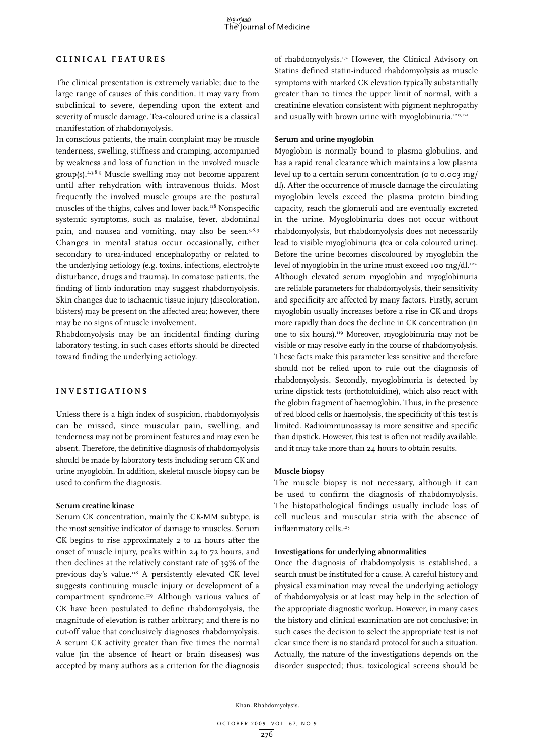# **Clini c al features**

The clinical presentation is extremely variable; due to the large range of causes of this condition, it may vary from subclinical to severe, depending upon the extent and severity of muscle damage. Tea-coloured urine is a classical manifestation of rhabdomyolysis.

In conscious patients, the main complaint may be muscle tenderness, swelling, stiffness and cramping, accompanied by weakness and loss of function in the involved muscle group(s).2,3,8,9 Muscle swelling may not become apparent until after rehydration with intravenous fluids. Most frequently the involved muscle groups are the postural muscles of the thighs, calves and lower back.<sup>118</sup> Nonspecific systemic symptoms, such as malaise, fever, abdominal pain, and nausea and vomiting, may also be seen.<sup>3,8,9</sup> Changes in mental status occur occasionally, either secondary to urea-induced encephalopathy or related to the underlying aetiology (e.g. toxins, infections, electrolyte disturbance, drugs and trauma). In comatose patients, the finding of limb induration may suggest rhabdomyolysis. Skin changes due to ischaemic tissue injury (discoloration, blisters) may be present on the affected area; however, there may be no signs of muscle involvement.

Rhabdomyolysis may be an incidental finding during laboratory testing, in such cases efforts should be directed toward finding the underlying aetiology.

# **I nvestigations**

Unless there is a high index of suspicion, rhabdomyolysis can be missed, since muscular pain, swelling, and tenderness may not be prominent features and may even be absent. Therefore, the definitive diagnosis of rhabdomyolysis should be made by laboratory tests including serum CK and urine myoglobin. In addition, skeletal muscle biopsy can be used to confirm the diagnosis.

# **Serum creatine kinase**

Serum CK concentration, mainly the CK-MM subtype, is the most sensitive indicator of damage to muscles. Serum CK begins to rise approximately 2 to 12 hours after the onset of muscle injury, peaks within 24 to 72 hours, and then declines at the relatively constant rate of 39% of the previous day's value.<sup>118</sup> A persistently elevated CK level suggests continuing muscle injury or development of a compartment syndrome.119 Although various values of CK have been postulated to define rhabdomyolysis, the magnitude of elevation is rather arbitrary; and there is no cut-off value that conclusively diagnoses rhabdomyolysis. A serum CK activity greater than five times the normal value (in the absence of heart or brain diseases) was accepted by many authors as a criterion for the diagnosis

of rhabdomyolysis.1,2 However, the Clinical Advisory on Statins defined statin-induced rhabdomyolysis as muscle symptoms with marked CK elevation typically substantially greater than 10 times the upper limit of normal, with a creatinine elevation consistent with pigment nephropathy and usually with brown urine with myoglobinuria.<sup>120,121</sup>

#### **Serum and urine myoglobin**

Myoglobin is normally bound to plasma globulins, and has a rapid renal clearance which maintains a low plasma level up to a certain serum concentration (0 to 0.003 mg/ dl). After the occurrence of muscle damage the circulating myoglobin levels exceed the plasma protein binding capacity, reach the glomeruli and are eventually excreted in the urine. Myoglobinuria does not occur without rhabdomyolysis, but rhabdomyolysis does not necessarily lead to visible myoglobinuria (tea or cola coloured urine). Before the urine becomes discoloured by myoglobin the level of myoglobin in the urine must exceed 100 mg/dl. $122$ Although elevated serum myoglobin and myoglobinuria are reliable parameters for rhabdomyolysis, their sensitivity and specificity are affected by many factors. Firstly, serum myoglobin usually increases before a rise in CK and drops more rapidly than does the decline in CK concentration (in one to six hours).119 Moreover, myoglobinuria may not be visible or may resolve early in the course of rhabdomyolysis. These facts make this parameter less sensitive and therefore should not be relied upon to rule out the diagnosis of rhabdomyolysis. Secondly, myoglobinuria is detected by urine dipstick tests (orthotoluidine), which also react with the globin fragment of haemoglobin. Thus, in the presence of red blood cells or haemolysis, the specificity of this test is limited. Radioimmunoassay is more sensitive and specific than dipstick. However, this test is often not readily available, and it may take more than 24 hours to obtain results.

# **Muscle biopsy**

The muscle biopsy is not necessary, although it can be used to confirm the diagnosis of rhabdomyolysis. The histopathological findings usually include loss of cell nucleus and muscular stria with the absence of inflammatory cells.<sup>123</sup>

#### **Investigations for underlying abnormalities**

Once the diagnosis of rhabdomyolysis is established, a search must be instituted for a cause. A careful history and physical examination may reveal the underlying aetiology of rhabdomyolysis or at least may help in the selection of the appropriate diagnostic workup. However, in many cases the history and clinical examination are not conclusive; in such cases the decision to select the appropriate test is not clear since there is no standard protocol for such a situation. Actually, the nature of the investigations depends on the disorder suspected; thus, toxicological screens should be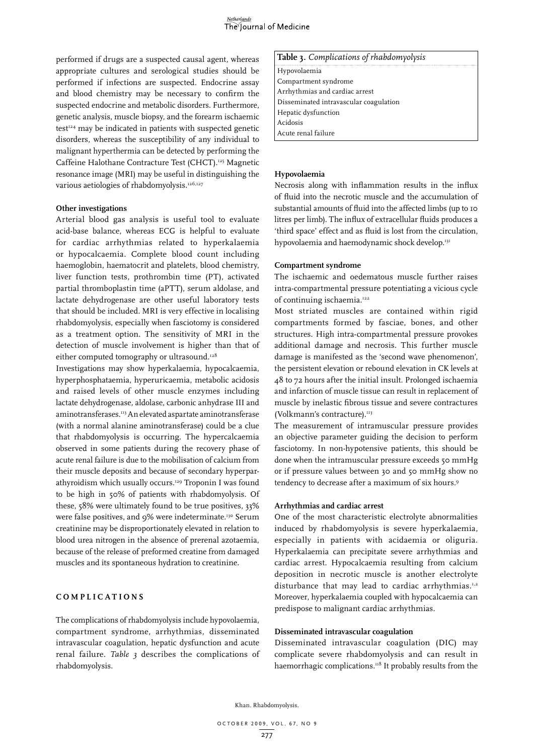

performed if drugs are a suspected causal agent, whereas appropriate cultures and serological studies should be performed if infections are suspected. Endocrine assay and blood chemistry may be necessary to confirm the suspected endocrine and metabolic disorders. Furthermore, genetic analysis, muscle biopsy, and the forearm ischaemic test<sup>124</sup> may be indicated in patients with suspected genetic disorders, whereas the susceptibility of any individual to malignant hyperthermia can be detected by performing the Caffeine Halothane Contracture Test (CHCT).125 Magnetic resonance image (MRI) may be useful in distinguishing the various aetiologies of rhabdomyolysis.<sup>126,127</sup>

#### **Other investigations**

Arterial blood gas analysis is useful tool to evaluate acid-base balance, whereas ECG is helpful to evaluate for cardiac arrhythmias related to hyperkalaemia or hypocalcaemia. Complete blood count including haemoglobin, haematocrit and platelets, blood chemistry, liver function tests, prothrombin time (PT), activated partial thromboplastin time (aPTT), serum aldolase, and lactate dehydrogenase are other useful laboratory tests that should be included. MRI is very effective in localising rhabdomyolysis, especially when fasciotomy is considered as a treatment option. The sensitivity of MRI in the detection of muscle involvement is higher than that of either computed tomography or ultrasound.<sup>128</sup>

Investigations may show hyperkalaemia, hypocalcaemia, hyperphosphataemia, hyperuricaemia, metabolic acidosis and raised levels of other muscle enzymes including lactate dehydrogenase, aldolase, carbonic anhydrase III and aminotransferases.113 An elevated aspartate aminotransferase (with a normal alanine aminotransferase) could be a clue that rhabdomyolysis is occurring. The hypercalcaemia observed in some patients during the recovery phase of acute renal failure is due to the mobilisation of calcium from their muscle deposits and because of secondary hyperparathyroidism which usually occurs.<sup>129</sup> Troponin I was found to be high in 50% of patients with rhabdomyolysis. Of these, 58% were ultimately found to be true positives, 33% were false positives, and 9% were indeterminate.<sup>130</sup> Serum creatinine may be disproportionately elevated in relation to blood urea nitrogen in the absence of prerenal azotaemia, because of the release of preformed creatine from damaged muscles and its spontaneous hydration to creatinine.

# **C o m pli c ations**

The complications of rhabdomyolysis include hypovolaemia, compartment syndrome, arrhythmias, disseminated intravascular coagulation, hepatic dysfunction and acute renal failure. *Table 3* describes the complications of rhabdomyolysis.

#### **Table 3.** *Complications of rhabdomyolysis*

Hypovolaemia Compartment syndrome Arrhythmias and cardiac arrest Disseminated intravascular coagulation Hepatic dysfunction Acidosis Acute renal failure

# **Hypovolaemia**

Necrosis along with inflammation results in the influx of fluid into the necrotic muscle and the accumulation of substantial amounts of fluid into the affected limbs (up to 10 litres per limb). The influx of extracellular fluids produces a 'third space' effect and as fluid is lost from the circulation, hypovolaemia and haemodynamic shock develop.<sup>131</sup>

#### **Compartment syndrome**

The ischaemic and oedematous muscle further raises intra-compartmental pressure potentiating a vicious cycle of continuing ischaemia.<sup>122</sup>

Most striated muscles are contained within rigid compartments formed by fasciae, bones, and other structures. High intra-compartmental pressure provokes additional damage and necrosis. This further muscle damage is manifested as the 'second wave phenomenon', the persistent elevation or rebound elevation in CK levels at 48 to 72 hours after the initial insult. Prolonged ischaemia and infarction of muscle tissue can result in replacement of muscle by inelastic fibrous tissue and severe contractures (Volkmann's contracture).<sup>113</sup>

The measurement of intramuscular pressure provides an objective parameter guiding the decision to perform fasciotomy. In non-hypotensive patients, this should be done when the intramuscular pressure exceeds 50 mmHg or if pressure values between 30 and 50 mmHg show no tendency to decrease after a maximum of six hours.9

# **Arrhythmias and cardiac arrest**

One of the most characteristic electrolyte abnormalities induced by rhabdomyolysis is severe hyperkalaemia, especially in patients with acidaemia or oliguria. Hyperkalaemia can precipitate severe arrhythmias and cardiac arrest. Hypocalcaemia resulting from calcium deposition in necrotic muscle is another electrolyte disturbance that may lead to cardiac arrhythmias.<sup>1,2</sup> Moreover, hyperkalaemia coupled with hypocalcaemia can predispose to malignant cardiac arrhythmias.

# **Disseminated intravascular coagulation**

Disseminated intravascular coagulation (DIC) may complicate severe rhabdomyolysis and can result in haemorrhagic complications.<sup>118</sup> It probably results from the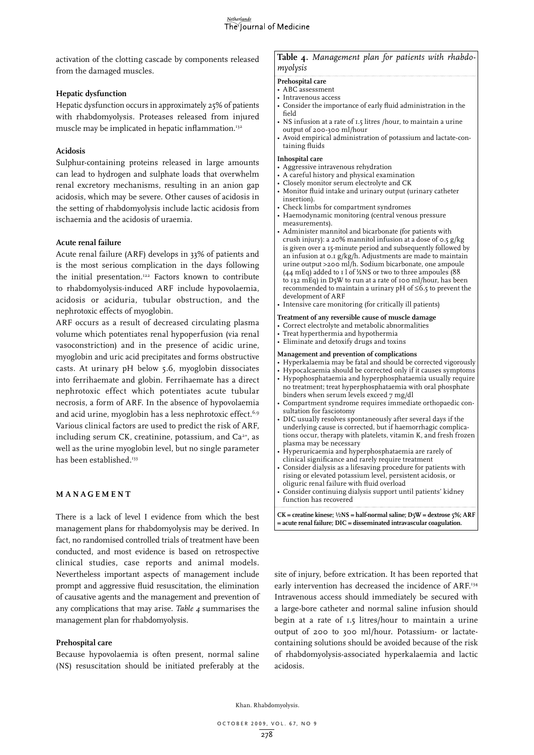activation of the clotting cascade by components released from the damaged muscles.

# **Hepatic dysfunction**

Hepatic dysfunction occurs in approximately 25% of patients with rhabdomyolysis. Proteases released from injured muscle may be implicated in hepatic inflammation.<sup>132</sup>

# **Acidosis**

Sulphur-containing proteins released in large amounts can lead to hydrogen and sulphate loads that overwhelm renal excretory mechanisms, resulting in an anion gap acidosis, which may be severe. Other causes of acidosis in the setting of rhabdomyolysis include lactic acidosis from ischaemia and the acidosis of uraemia.

# **Acute renal failure**

Acute renal failure (ARF) develops in 33% of patients and is the most serious complication in the days following the initial presentation.<sup>122</sup> Factors known to contribute to rhabdomyolysis-induced ARF include hypovolaemia, acidosis or aciduria, tubular obstruction, and the nephrotoxic effects of myoglobin.

ARF occurs as a result of decreased circulating plasma volume which potentiates renal hypoperfusion (via renal vasoconstriction) and in the presence of acidic urine, myoglobin and uric acid precipitates and forms obstructive casts. At urinary pH below 5.6, myoglobin dissociates into ferrihaemate and globin. Ferrihaemate has a direct nephrotoxic effect which potentiates acute tubular necrosis, a form of ARF. In the absence of hypovolaemia and acid urine, myoglobin has a less nephrotoxic effect.<sup>6,9</sup> Various clinical factors are used to predict the risk of ARF, including serum CK, creatinine, potassium, and  $Ca^{2+}$ , as well as the urine myoglobin level, but no single parameter has been established.<sup>133</sup>

# **Manage m ent**

There is a lack of level I evidence from which the best management plans for rhabdomyolysis may be derived. In fact, no randomised controlled trials of treatment have been conducted, and most evidence is based on retrospective clinical studies, case reports and animal models. Nevertheless important aspects of management include prompt and aggressive fluid resuscitation, the elimination of causative agents and the management and prevention of any complications that may arise. *Table 4* summarises the management plan for rhabdomyolysis.

# **Prehospital care**

Because hypovolaemia is often present, normal saline (NS) resuscitation should be initiated preferably at the

# **Table 4.** *Management plan for patients with rhabdomyolysis*

# **Prehospital care**

- ABC assessment
- Intravenous access
- Consider the importance of early fluid administration in the field
- NS infusion at a rate of 1.5 litres /hour, to maintain a urine output of 200-300 ml/hour
- Avoid empirical administration of potassium and lactate-containing fluids

#### **Inhospital care**

- Aggressive intravenous rehydration
- A careful history and physical examination
- Closely monitor serum electrolyte and CK
- Monitor fluid intake and urinary output (urinary catheter insertion).
- Check limbs for compartment syndromes
- Haemodynamic monitoring (central venous pressure measurements).
- Administer mannitol and bicarbonate (for patients with crush injury): a 20% mannitol infusion at a dose of 0.5 g/kg is given over a 15-minute period and subsequently followed by an infusion at 0.1 g/kg/h. Adjustments are made to maintain urine output >200 ml/h. Sodium bicarbonate, one ampoule (44 mEq) added to 1 l of  $\frac{1}{2}$ NS or two to three ampoules (88) to 132 mEq) in D5W to run at a rate of 100 ml/hour, has been recommended to maintain a urinary pH of ≤6.5 to prevent the development of ARF
- Intensive care monitoring (for critically ill patients)

# **Treatment of any reversible cause of muscle damage**

#### • Correct electrolyte and metabolic abnormalities

- Treat hyperthermia and hypothermia
- Eliminate and detoxify drugs and toxins

### **Management and prevention of complications**

- Hyperkalaemia may be fatal and should be corrected vigorously
- Hypocalcaemia should be corrected only if it causes symptoms
- Hypophosphataemia and hyperphosphataemia usually require no treatment; treat hyperphosphataemia with oral phosphate binders when serum levels exceed 7 mg/dl
- Compartment syndrome requires immediate orthopaedic consultation for fasciotomy
- DIC usually resolves spontaneously after several days if the underlying cause is corrected, but if haemorrhagic complications occur, therapy with platelets, vitamin K, and fresh frozen plasma may be necessary
- Hyperuricaemia and hyperphosphataemia are rarely of clinical significance and rarely require treatment
- Consider dialysis as a lifesaving procedure for patients with rising or elevated potassium level, persistent acidosis, or oliguric renal failure with fluid overload
- Consider continuing dialysis support until patients' kidney function has recovered

**CK = creatine kinese;** ½**NS = half-normal saline; D5W = dextrose 5%; ARF = acute renal failure; DIC = disseminated intravascular coagulation.**

site of injury, before extrication. It has been reported that early intervention has decreased the incidence of ARF.<sup>134</sup> Intravenous access should immediately be secured with a large-bore catheter and normal saline infusion should begin at a rate of 1.5 litres/hour to maintain a urine output of 200 to 300 ml/hour. Potassium- or lactatecontaining solutions should be avoided because of the risk of rhabdomyolysis-associated hyperkalaemia and lactic acidosis.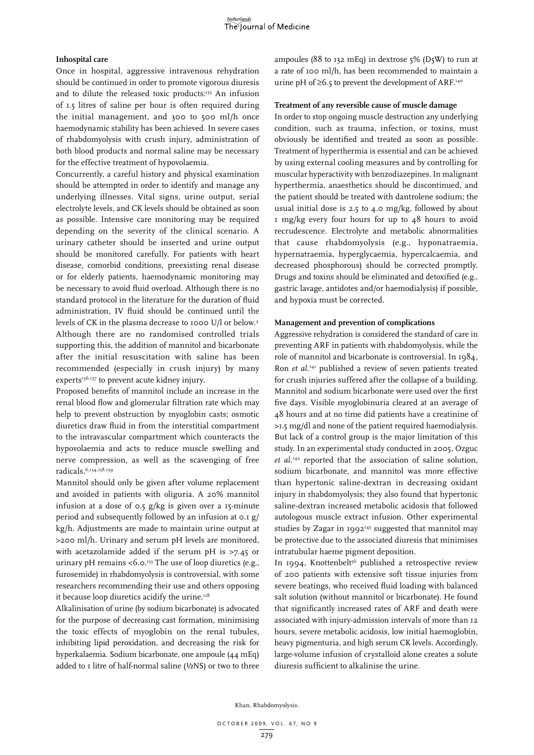# **Inhospital care**

Once in hospital, aggressive intravenous rehydration should be continued in order to promote vigorous diuresis and to dilute the released toxic products:<sup>135</sup> An infusion of 1.5 litres of saline per hour is often required during the initial management, and 300 to 500 ml/h once haemodynamic stability has been achieved. In severe cases of rhabdomyolysis with crush injury, administration of both blood products and normal saline may be necessary for the effective treatment of hypovolaemia.

Concurrently, a careful history and physical examination should be attempted in order to identify and manage any underlying illnesses. Vital signs, urine output, serial electrolyte levels, and CK levels should be obtained as soon as possible. Intensive care monitoring may be required depending on the severity of the clinical scenario. A urinary catheter should be inserted and urine output should be monitored carefully. For patients with heart disease, comorbid conditions, preexisting renal disease or for elderly patients, haemodynamic monitoring may be necessary to avoid fluid overload. Although there is no standard protocol in the literature for the duration of fluid administration, IV fluid should be continued until the levels of CK in the plasma decrease to 1000 U/l or below.<sup>2</sup> Although there are no randomised controlled trials supporting this, the addition of mannitol and bicarbonate after the initial resuscitation with saline has been recommended (especially in crush injury) by many experts<sup>136,137</sup> to prevent acute kidney injury.

Proposed benefits of mannitol include an increase in the renal blood flow and glomerular filtration rate which may help to prevent obstruction by myoglobin casts; osmotic diuretics draw fluid in from the interstitial compartment to the intravascular compartment which counteracts the hypovolaemia and acts to reduce muscle swelling and nerve compression, as well as the scavenging of free radicals.6,134,138,139

Mannitol should only be given after volume replacement and avoided in patients with oliguria. A 20% mannitol infusion at a dose of 0.5 g/kg is given over a 15-minute period and subsequently followed by an infusion at 0.1 g/ kg/h. Adjustments are made to maintain urine output at >200 ml/h. Urinary and serum pH levels are monitored, with acetazolamide added if the serum pH is >7.45 or urinary pH remains <6.0. $^{133}$  The use of loop diuretics (e.g., furosemide) in rhabdomyolysis is controversial, with some researchers recommending their use and others opposing it because loop diuretics acidify the urine.<sup>118</sup>

Alkalinisation of urine (by sodium bicarbonate) is advocated for the purpose of decreasing cast formation, minimising the toxic effects of myoglobin on the renal tubules, inhibiting lipid peroxidation, and decreasing the risk for hyperkalaemia. Sodium bicarbonate, one ampoule (44 mEq) added to 1 litre of half-normal saline (½NS) or two to three

ampoules (88 to 132 mEq) in dextrose  $5\%$  (D $5W$ ) to run at a rate of 100 ml/h, has been recommended to maintain a urine pH of  $\geq$ 6.5 to prevent the development of ARF.<sup>140</sup>

# **Treatment of any reversible cause of muscle damage**

In order to stop ongoing muscle destruction any underlying condition, such as trauma, infection, or toxins, must obviously be identified and treated as soon as possible. Treatment of hyperthermia is essential and can be achieved by using external cooling measures and by controlling for muscular hyperactivity with benzodiazepines. In malignant hyperthermia, anaesthetics should be discontinued, and the patient should be treated with dantrolene sodium; the usual initial dose is 2.5 to 4.0 mg/kg, followed by about 1 mg/kg every four hours for up to 48 hours to avoid recrudescence. Electrolyte and metabolic abnormalities that cause rhabdomyolysis (e.g., hyponatraemia, hypernatraemia, hyperglycaemia, hypercalcaemia, and decreased phosphorous) should be corrected promptly. Drugs and toxins should be eliminated and detoxified (e.g., gastric lavage, antidotes and/or haemodialysis) if possible, and hypoxia must be corrected.

# **Management and prevention of complications**

Aggressive rehydration is considered the standard of care in preventing ARF in patients with rhabdomyolysis, while the role of mannitol and bicarbonate is controversial. In 1984, Ron *et al.*141 published a review of seven patients treated for crush injuries suffered after the collapse of a building. Mannitol and sodium bicarbonate were used over the first five days. Visible myoglobinuria cleared at an average of 48 hours and at no time did patients have a creatinine of >1.5 mg/dl and none of the patient required haemodialysis. But lack of a control group is the major limitation of this study. In an experimental study conducted in 2005, Ozguc *et al.*142 reported that the association of saline solution, sodium bicarbonate, and mannitol was more effective than hypertonic saline-dextran in decreasing oxidant injury in rhabdomyolysis; they also found that hypertonic saline-dextran increased metabolic acidosis that followed autologous muscle extract infusion. Other experimental studies by Zagar in  $1992^{143}$  suggested that mannitol may be protective due to the associated diuresis that minimises intratubular haeme pigment deposition.

In 1994, Knottenbelt<sup>56</sup> published a retrospective review of 200 patients with extensive soft tissue injuries from severe beatings, who received fluid loading with balanced salt solution (without mannitol or bicarbonate). He found that significantly increased rates of ARF and death were associated with injury-admission intervals of more than 12 hours, severe metabolic acidosis, low initial haemoglobin, heavy pigmenturia, and high serum CK levels. Accordingly, large-volume infusion of crystalloid alone creates a solute diuresis sufficient to alkalinise the urine.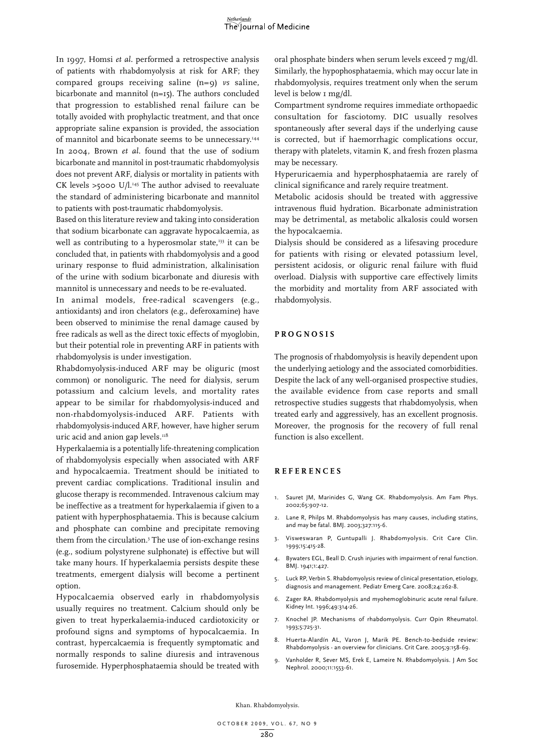

In 1997, Homsi *et al.* performed a retrospective analysis of patients with rhabdomyolysis at risk for ARF; they compared groups receiving saline (n=9) *vs* saline, bicarbonate and mannitol (n=15). The authors concluded that progression to established renal failure can be totally avoided with prophylactic treatment, and that once appropriate saline expansion is provided, the association of mannitol and bicarbonate seems to be unnecessary.<sup>144</sup> In 2004, Brown *et al.* found that the use of sodium bicarbonate and mannitol in post-traumatic rhabdomyolysis does not prevent ARF, dialysis or mortality in patients with CK levels  $>5000$  U/l.<sup>145</sup> The author advised to reevaluate the standard of administering bicarbonate and mannitol to patients with post-traumatic rhabdomyolysis.

Based on this literature review and taking into consideration that sodium bicarbonate can aggravate hypocalcaemia, as well as contributing to a hyperosmolar state,<sup>133</sup> it can be concluded that, in patients with rhabdomyolysis and a good urinary response to fluid administration, alkalinisation of the urine with sodium bicarbonate and diuresis with mannitol is unnecessary and needs to be re-evaluated.

In animal models, free-radical scavengers (e.g., antioxidants) and iron chelators (e.g., deferoxamine) have been observed to minimise the renal damage caused by free radicals as well as the direct toxic effects of myoglobin, but their potential role in preventing ARF in patients with rhabdomyolysis is under investigation.

Rhabdomyolysis-induced ARF may be oliguric (most common) or nonoliguric. The need for dialysis, serum potassium and calcium levels, and mortality rates appear to be similar for rhabdomyolysis-induced and non-rhabdomyolysis-induced ARF. Patients with rhabdomyolysis-induced ARF, however, have higher serum uric acid and anion gap levels. $118$ 

Hyperkalaemia is a potentially life-threatening complication of rhabdomyolysis especially when associated with ARF and hypocalcaemia. Treatment should be initiated to prevent cardiac complications. Traditional insulin and glucose therapy is recommended. Intravenous calcium may be ineffective as a treatment for hyperkalaemia if given to a patient with hyperphosphataemia. This is because calcium and phosphate can combine and precipitate removing them from the circulation.3 The use of ion-exchange resins (e.g., sodium polystyrene sulphonate) is effective but will take many hours. If hyperkalaemia persists despite these treatments, emergent dialysis will become a pertinent option.

Hypocalcaemia observed early in rhabdomyolysis usually requires no treatment. Calcium should only be given to treat hyperkalaemia-induced cardiotoxicity or profound signs and symptoms of hypocalcaemia. In contrast, hypercalcaemia is frequently symptomatic and normally responds to saline diuresis and intravenous furosemide. Hyperphosphataemia should be treated with

oral phosphate binders when serum levels exceed 7 mg/dl. Similarly, the hypophosphataemia, which may occur late in rhabdomyolysis, requires treatment only when the serum level is below I mg/dl.

Compartment syndrome requires immediate orthopaedic consultation for fasciotomy. DIC usually resolves spontaneously after several days if the underlying cause is corrected, but if haemorrhagic complications occur, therapy with platelets, vitamin K, and fresh frozen plasma may be necessary.

Hyperuricaemia and hyperphosphataemia are rarely of clinical significance and rarely require treatment.

Metabolic acidosis should be treated with aggressive intravenous fluid hydration. Bicarbonate administration may be detrimental, as metabolic alkalosis could worsen the hypocalcaemia.

Dialysis should be considered as a lifesaving procedure for patients with rising or elevated potassium level, persistent acidosis, or oliguric renal failure with fluid overload. Dialysis with supportive care effectively limits the morbidity and mortality from ARF associated with rhabdomyolysis.

## **P rognosis**

The prognosis of rhabdomyolysis is heavily dependent upon the underlying aetiology and the associated comorbidities. Despite the lack of any well-organised prospective studies, the available evidence from case reports and small retrospective studies suggests that rhabdomyolysis, when treated early and aggressively, has an excellent prognosis. Moreover, the prognosis for the recovery of full renal function is also excellent.

# **R eferen c e s**

- 1. Sauret JM, Marinides G, Wang GK. Rhabdomyolysis. Am Fam Phys. 2002;65:907-12.
- 2. Lane R, Philps M. Rhabdomyolysis has many causes, including statins, and may be fatal. BMJ. 2003;327:115-6.
- 3. Visweswaran P, Guntupalli J. Rhabdomyolysis. Crit Care Clin. 1999;15:415-28.
- 4. Bywaters EGL, Beall D. Crush injuries with impairment of renal function. BMJ. 1941;1:427.
- 5. Luck RP, Verbin S. Rhabdomyolysis review of clinical presentation, etiology, diagnosis and management. Pediatr Emerg Care. 2008;24:262-8.
- 6. Zager RA. Rhabdomyolysis and myohemoglobinuric acute renal failure. Kidney Int. 1996;49:314-26.
- 7. Knochel JP. Mechanisms of rhabdomyolysis. Curr Opin Rheumatol. 1993;5:725-31.
- 8. Huerta-Alardín AL, Varon J, Marik PE. Bench-to-bedside review: Rhabdomyolysis - an overview for clinicians. Crit Care. 2005;9:158-69.
- 9. Vanholder R, Sever MS, Erek E, Lameire N. Rhabdomyolysis. J Am Soc Nephrol. 2000;11:1553-61.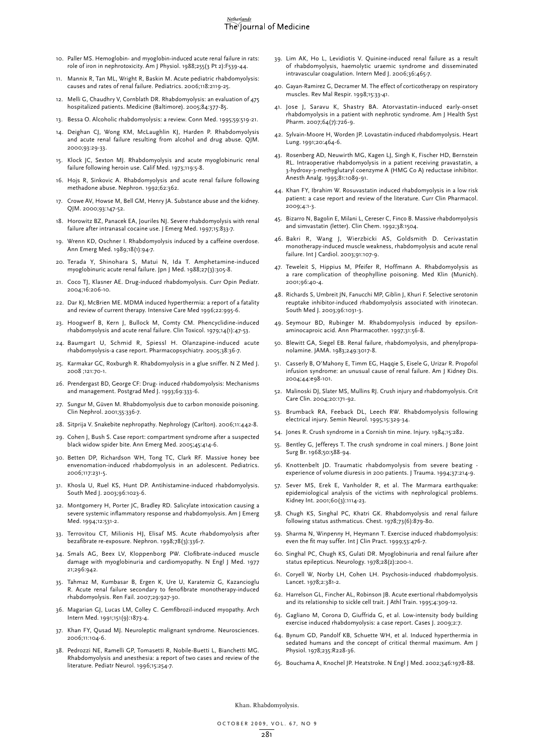#### *<u>Ietherlands</u>* The Journal of Medicine

- 10. Paller MS. Hemoglobin- and myoglobin-induced acute renal failure in rats: role of iron in nephrotoxicity. Am J Physiol. 1988;255(3 Pt 2):F539-44.
- 11. Mannix R, Tan ML, Wright R, Baskin M. Acute pediatric rhabdomyolysis: causes and rates of renal failure. Pediatrics. 2006;118:2119-25.
- 12. Melli G, Chaudhry V, Cornblath DR. Rhabdomyolysis: an evaluation of 475 hospitalized patients. Medicine (Baltimore). 2005;84:377-85.
- 13. Bessa O. Alcoholic rhabdomyolysis: a review. Conn Med. 1995;59:519-21.
- 14. Deighan CJ, Wong KM, McLaughlin KJ, Harden P. Rhabdomyolysis and acute renal failure resulting from alcohol and drug abuse. QJM. 2000;93:29-33.
- Klock JC, Sexton MJ. Rhabdomyolysis and acute myoglobinuric renal failure following heroin use. Calif Med. 1973;119:5-8.
- 16. Hojs R, Sinkovic A. Rhabdomyolysis and acute renal failure following methadone abuse. Nephron. 1992;62:362.
- 17. Crowe AV, Howse M, Bell GM, Henry JA. Substance abuse and the kidney. QJM. 2000;93:147-52.
- 18. Horowitz BZ, Panacek EA, Jouriles NJ. Severe rhabdomyolysis with renal failure after intranasal cocaine use. J Emerg Med. 1997;15:833-7.
- 19. Wrenn KD, Oschner I. Rhabdomyolysis induced by a caffeine overdose. Ann Emerg Med. 1989;18(1):94-7.
- 20. Terada Y, Shinohara S, Matui N, Ida T. Amphetamine-induced myoglobinuric acute renal failure. Jpn J Med. 1988;27(3):305-8.
- 21. Coco TJ, Klasner AE. Drug-induced rhabdomyolysis. Curr Opin Pediatr. 2004;16:206-10.
- 22. Dar KJ, McBrien ME. MDMA induced hyperthermia: a report of a fatality and review of current therapy. Intensive Care Med 1996;22:995-6.
- 23. Hoogwerf B, Kern J, Bullock M, Comty CM. Phencyclidine-induced rhabdomyolysis and acute renal failure. Clin Toxicol. 1979;14(1):47-53.
- 24. Baumgart U, Schmid R, Spiessl H. Olanzapine-induced acute rhabdomyolysis-a case report. Pharmacopsychiatry. 2005;38:36-7.
- 25. Karmakar GC, Roxburgh R. Rhabdomyolysis in a glue sniffer. N Z Med J. 2008 ;121:70-1.
- 26. Prendergast BD, George CF: Drug- induced rhabdomyolysis: Mechanisms and management. Postgrad Med J. 1993;69:333-6.
- 27. Sungur M, Güven M. Rhabdomyolysis due to carbon monoxide poisoning. Clin Nephrol. 2001;55:336-7.
- 28. Sitprija V. Snakebite nephropathy. Nephrology (Carlton). 2006;11:442-8.
- 29. Cohen J, Bush S. Case report: compartment syndrome after a suspected black widow spider bite. Ann Emerg Med. 2005;45:414-6.
- 30. Betten DP, Richardson WH, Tong TC, Clark RF. Massive honey bee envenomation-induced rhabdomyolysis in an adolescent. Pediatrics. 2006;117:231-5.
- 31. Khosla U, Ruel KS, Hunt DP. Antihistamine-induced rhabdomyolysis. South Med I. 2003;96:1023-6.
- 32. Montgomery H, Porter JC, Bradley RD. Salicylate intoxication causing a severe systemic inflammatory response and rhabdomyolysis. Am J Emerg Med. 1994;12:531-2.
- 33. Terrovitou CT, Milionis HJ, Elisaf MS. Acute rhabdomyolysis after bezafibrate re-exposure. Nephron. 1998;78(3):336-7.
- 34. Smals AG, Beex LV, Kloppenborg PW. Clofibrate-induced muscle damage with myoglobinuria and cardiomyopathy. N Engl J Med. 1977 21;296:942.
- 35. Tahmaz M, Kumbasar B, Ergen K, Ure U, Karatemiz G, Kazancioglu R. Acute renal failure secondary to fenofibrate monotherapy-induced rhabdomyolysis. Ren Fail. 2007;29:927-30.
- 36. Magarian GJ, Lucas LM, Colley C. Gemfibrozil-induced myopathy. Arch Intern Med. 1991;151(9):1873-4.
- 37. Khan FY, Qusad MJ. Neuroleptic malignant syndrome. Neurosciences. 2006;11:104-6.
- 38. Pedrozzi NE, Ramelli GP, Tomasetti R, Nobile-Buetti L, Bianchetti MG. Rhabdomyolysis and anesthesia: a report of two cases and review of the literature. Pediatr Neurol. 1996;15:254-7.
- 39. Lim AK, Ho L, Levidiotis V. Quinine-induced renal failure as a result of rhabdomyolysis, haemolytic uraemic syndrome and disseminated intravascular coagulation. Intern Med J. 2006;36:465-7.
- 40. Gayan-Ramirez G, Decramer M. The effect of corticotherapy on respiratory muscles. Rev Mal Respir. 1998;15:33-41.
- 41. Jose J, Saravu K, Shastry BA. Atorvastatin-induced early-onset rhabdomyolysis in a patient with nephrotic syndrome. Am J Health Syst Pharm. 2007;64(7):726-9.
- 42. Sylvain-Moore H, Worden JP. Lovastatin-induced rhabdomyolysis. Heart Lung. 1991;20:464-6.
- 43. Rosenberg AD, Neuwirth MG, Kagen LJ, Singh K, Fischer HD, Bernstein RL. Intraoperative rhabdomyolysis in a patient receiving pravastatin, a 3-hydroxy-3-methyglutaryl coenzyme A (HMG Co A) reductase inhibitor. Anesth Analg. 1995;81:1089-91.
- 44. Khan FY, Ibrahim W. Rosuvastatin induced rhabdomyolysis in a low risk patient: a case report and review of the literature. Curr Clin Pharmacol. 2009;4:1-3.
- 45. Bizarro N, Bagolin E, Milani L, Cereser C, Finco B. Massive rhabdomyolysis and simvastatin (letter). Clin Chem. 1992;38:1504.
- 46. Bakri R, Wang J, Wierzbicki AS, Goldsmith D. Cerivastatin monotherapy-induced muscle weakness, rhabdomyolysis and acute renal failure. Int J Cardiol. 2003;91:107-9.
- 47. Teweleit S, Hippius M, Pfeifer R, Hoffmann A. Rhabdomyolysis as a rare complication of theophylline poisoning. Med Klin (Munich). 2001;96:40-4.
- 48. Richards S, Umbreit JN, Fanucchi MP, Giblin J, Khuri F. Selective serotonin reuptake inhibitor-induced rhabdomyolysis associated with irinotecan. South Med J. 2003;96:1031-3.
- 49. Seymour BD, Rubinger M. Rhabdomyolysis induced by epsilonaminocaproic acid. Ann Pharmacother. 1997;31:56-8.
- 50. Blewitt GA, Siegel EB. Renal failure, rhabdomyolysis, and phenylpropanolamine. JAMA. 1983;249:3017-8.
- 51. Casserly B, O'Mahony E, Timm EG, Haqqie S, Eisele G, Urizar R. Propofol infusion syndrome: an unusual cause of renal failure. Am J Kidney Dis. 2004;44:e98-101.
- 52. Malinoski DJ, Slater MS, Mullins RJ. Crush injury and rhabdomyolysis. Crit Care Clin. 2004;20:171-92.
- 53. Brumback RA, Feeback DL, Leech RW. Rhabdomyolysis following electrical injury. Semin Neurol. 1995;15:329-34.
- 54. Jones R. Crush syndrome in a Cornish tin mine. Injury. 1984;15:282.
- 55. Bentley G, Jeffereys T. The crush syndrome in coal miners. J Bone Joint Surg Br. 1968;50:588-94.
- 56. Knottenbelt JD. Traumatic rhabdomyolysis from severe beating experience of volume diuresis in 200 patients. J Trauma. 1994;37:214-9.
- 57. Sever MS, Erek E, Vanholder R, et al. The Marmara earthquake: epidemiological analysis of the victims with nephrological problems. Kidney Int. 2001;60(3):1114-23.
- 58. Chugh KS, Singhal PC, Khatri GK. Rhabdomyolysis and renal failure following status asthmaticus. Chest. 1978;73(6):879-80.
- 59. Sharma N, Winpenny H, Heymann T. Exercise induced rhabdomyolysis: even the fit may suffer. Int J Clin Pract. 1999;53:476-7.
- 60. Singhal PC, Chugh KS, Gulati DR. Myoglobinuria and renal failure after status epilepticus. Neurology. 1978;28(2):200-1.
- 61. Coryell W, Norby LH, Cohen LH. Psychosis-induced rhabdomyolysis. Lancet. 1978;2:381-2.
- 62. Harrelson GL, Fincher AL, Robinson JB. Acute exertional rhabdomyolysis and its relationship to sickle cell trait. J Athl Train. 1995;4:309-12.
- 63. Gagliano M, Corona D, Giuffrida G, et al. Low-intensity body building exercise induced rhabdomyolysis: a case report. Cases J. 2009;2:7.
- 64. Bynum GD, Pandolf KB, Schuette WH, et al. Induced hyperthermia in sedated humans and the concept of critical thermal maximum. Am J Physiol. 1978;235:R228-36.
- 65. Bouchama A, Knochel JP. Heatstroke. N Engl J Med. 2002;346:1978-88.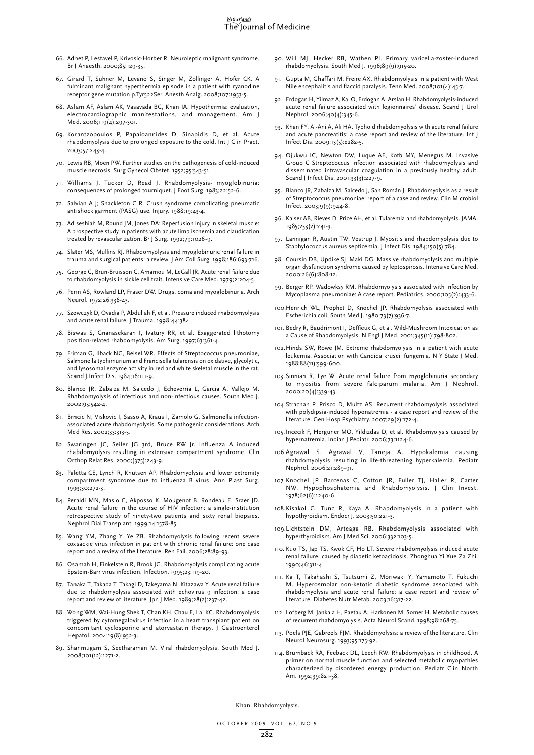- 66. Adnet P, Lestavel P, Krivosic-Horber R. Neuroleptic malignant syndrome. Br J Anaesth. 2000;85:129-35.
- 67. Girard T, Suhner M, Levano S, Singer M, Zollinger A, Hofer CK. A fulminant malignant hyperthermia episode in a patient with ryanodine receptor gene mutation p.Tyr522Ser. Anesth Analg. 2008;107:1953-5.
- 68. Aslam AF, Aslam AK, Vasavada BC, Khan IA. Hypothermia: evaluation, electrocardiographic manifestations, and management. Am J Med. 2006;119(4):297-301.
- 69. Korantzopoulos P, Papaioannides D, Sinapidis D, et al. Acute rhabdomyolysis due to prolonged exposure to the cold. Int J Clin Pract. 2003;57:243-4.
- 70. Lewis RB, Moen PW. Further studies on the pathogenesis of cold-induced muscle necrosis. Surg Gynecol Obstet. 1952;95:543-51.
- 71. Williams J, Tucker D, Read J. Rhabdomyolysis- myoglobinuria: consequences of prolonged tourniquet. J Foot Surg. 1983;22:52-6.
- 72. Salvian A J; Shackleton C R. Crush syndrome complicating pneumatic antishock garment (PASG) use. Injury. 1988;19:43-4.
- 73. Adiseshiah M, Round JM, Jones DA: Reperfusion injury in skeletal muscle: A prospective study in patients with acute limb ischemia and claudication treated by revascularization. Br J Surg. 1992;79:1026-9.
- 74. Slater MS, Mullins RJ. Rhabdomyolysis and myoglobinuric renal failure in trauma and surgical patients: a review. J Am Coll Surg. 1998;186:693-716.
- 75. George C, Brun-Bruisson C, Amamou M, LeGall JR. Acute renal failure due to rhabdomyolysis in sickle cell trait. Intensive Care Med. 1979;2:204-5.
- 76. Penn AS, Rowland LP, Fraser DW. Drugs, coma and myoglobinuria. Arch Neurol. 1972;26:336-43.
- 77. Szewczyk D, Ovadia P, Abdullah F, et al. Pressure induced rhabdomyolysis and acute renal failure. J Trauma. 1998;44:384.
- 78. Biswas S, Gnanasekaran I, Ivatury RR, et al. Exaggerated lithotomy position-related rhabdomyolysis. Am Surg. 1997;63:361-4.
- 79. Friman G, Ilback NG, Beisel WR. Effects of Streptococcus pneumoniae, Salmonella typhimurium and Francisella tularensis on oxidative, glycolytic, and lysosomal enzyme activity in red and white skeletal muscle in the rat. Scand J Infect Dis. 1984;16:111-9.
- 80. Blanco JR, Zabalza M, Salcedo J, Echeverria L, Garcia A, Vallejo M. Rhabdomyolysis of infectious and non-infectious causes. South Med J. 2002;95:542-4.
- 81. Brncic N, Viskovic I, Sasso A, Kraus I, Zamolo G. Salmonella infectionassociated acute rhabdomyolysis. Some pathogenic considerations. Arch Med Res. 2002;33:313-5.
- 82. Swaringen JC, Seiler JG 3rd, Bruce RW Jr. Influenza A induced rhabdomyolysis resulting in extensive compartment syndrome. Clin Orthop Relat Res. 2000;(375):243-9.
- 83. Paletta CE, Lynch R, Knutsen AP. Rhabdomyolysis and lower extremity compartment syndrome due to influenza B virus. Ann Plast Surg. 1993;30:272-3.
- 84. Peraldi MN, Maslo C, Akposso K, Mougenot B, Rondeau E, Sraer JD. Acute renal failure in the course of HIV infection: a single-institution retrospective study of ninety-two patients and sixty renal biopsies. Nephrol Dial Transplant. 1999;14:1578-85.
- 85. Wang YM, Zhang Y, Ye ZB. Rhabdomyolysis following recent severe coxsackie virus infection in patient with chronic renal failure: one case report and a review of the literature. Ren Fail. 2006;28:89-93.
- 86. Osamah H, Finkelstein R, Brook JG. Rhabdomyolysis complicating acute Epstein-Barr virus infection. Infection. 1995;23:119-20.
- 87. Tanaka T, Takada T, Takagi D, Takeyama N, Kitazawa Y. Acute renal failure due to rhabdomyolysis associated with echovirus 9 infection: a case report and review of literature. Jpn J Med. 1989;28(2):237-42.
- 88. Wong WM, Wai-Hung Shek T, Chan KH, Chau E, Lai KC. Rhabdomyolysis triggered by cytomegalovirus infection in a heart transplant patient on concomitant cyclosporine and atorvastatin therapy. J Gastroenterol Hepatol. 2004;19(8):952-3.
- 89. Shanmugam S, Seetharaman M. Viral rhabdomyolysis. South Med J. 2008;101(12):1271-2.
- 90. Will MJ, Hecker RB, Wathen PI. Primary varicella-zoster-induced rhabdomyolysis. South Med J. 1996;89(9):915-20.
- 91. Gupta M, Ghaffari M, Freire AX. Rhabdomyolysis in a patient with West Nile encephalitis and flaccid paralysis. Tenn Med. 2008;101(4):45-7.
- 92. Erdogan H, Yilmaz A, Kal O, Erdogan A, Arslan H. Rhabdomyolysis-induced acute renal failure associated with legionnaires' disease. Scand J Urol Nephrol. 2006;40(4):345-6.
- 93. Khan FY, Al-Ani A, Ali HA. Typhoid rhabdomyolysis with acute renal failure and acute pancreatitis: a case report and review of the literature. Int J Infect Dis. 2009;13(5):e282-5.
- 94. Ojukwu IC, Newton DW, Luque AE, Kotb MY, Menegus M. Invasive Group C Streptococcus infection associated with rhabdomyolysis and disseminated intravascular coagulation in a previously healthy adult. Scand J Infect Dis. 2001;33(3):227-9.
- 95. Blanco JR, Zabalza M, Salcedo J, San Román J. Rhabdomyolysis as a result of Streptococcus pneumoniae: report of a case and review. Clin Microbiol Infect. 2003;9(9):944-8.
- 96. Kaiser AB, Rieves D, Price AH, et al. Tularemia and rhabdomyolysis. JAMA. 1985;253(2):241-3.
- 97. Lannigan R, Austin TW, Vestrup J. Myositis and rhabdomyolysis due to Staphylococcus aureus septicemia. J Infect Dis. 1984;150(5):784.
- 98. Coursin DB, Updike SJ, Maki DG. Massive rhabdomyolysis and multiple organ dysfunction syndrome caused by leptospirosis. Intensive Care Med. 2000;26(6):808-12.
- 99. Berger RP, Wadowksy RM. Rhabdomyolysis associated with infection by Mycoplasma pneumoniae: A case report. Pediatrics. 2000;105(2):433-6.
- 100.Henrich WL, Prophet D, Knochel JP. Rhabdomyolysis associated with Escherichia coli. South Med J. 1980;73(7):936-7.
- 101. Bedry R, Baudrimont I, Deffieux G, et al. Wild-Mushroom Intoxication as a Cause of Rhabdomyolysis. N Engl J Med. 2001;345(11):798-802.
- 102.Hinds SW, Rowe JM. Extreme rhabdomyolysis in a patient with acute leukemia. Association with Candida kruseii fungemia. N Y State J Med. 1988;88(11):599-600.
- 103. Sinniah R, Lye W. Acute renal failure from myoglobinuria secondary to myositis from severe falciparum malaria. Am J Nephrol. 2000;20(4):339-43.
- 104.Strachan P, Prisco D, Multz AS. Recurrent rhabdomyolysis associated with polydipsia-induced hyponatremia - a case report and review of the literature. Gen Hosp Psychiatry. 2007;29(2):172-4.
- 105.Incecik F, Herguner MO, Yildizdas D, et al. Rhabdomyolysis caused by hypernatremia. Indian J Pediatr. 2006;73:1124-6.
- 106.Agrawal S, Agrawal V, Taneja A. Hypokalemia causing rhabdomyolysis resulting in life-threatening hyperkalemia. Pediatr Nephrol. 2006;21:289-91.
- 107. Knochel JP, Barcenas C, Cotton JR, Fuller TJ, Haller R, Carter NW. Hypophosphatemia and Rhabdomyolysis. J Clin Invest. 1978;62(6):1240-6.
- 108.Kisakol G, Tunc R, Kaya A. Rhabdomyolysis in a patient with hypothyroidism. Endocr J. 2003;50:221-3.
- 109.Lichtstein DM, Arteaga RB. Rhabdomyolysis associated with hyperthyroidism. Am J Med Sci. 2006;332:103-5.
- 110. Kuo TS, Jap TS, Kwok CF, Ho LT. Severe rhabdomyolysis induced acute renal failure, caused by diabetic ketoacidosis. Zhonghua Yi Xue Za Zhi. 1990;46:311-4.
- 111. Ka T, Takahashi S, Tsutsumi Z, Moriwaki Y, Yamamoto T, Fukuchi M. Hyperosmolar non-ketotic diabetic syndrome associated with rhabdomyolysis and acute renal failure: a case report and review of literature. Diabetes Nutr Metab. 2003;16:317-22.
- 112. Lofberg M, Jankala H, Paetau A, Harkonen M, Somer H. Metabolic causes of recurrent rhabdomyolysis. Acta Neurol Scand. 1998;98:268-75.
- 113. Poels PJE, Gabreels FJM. Rhabdomyolysis: a review of the literature. Clin Neurol Neurosurg. 1993;95:175-92.
- 114. Brumback RA, Feeback DL, Leech RW. Rhabdomyolysis in childhood. A primer on normal muscle function and selected metabolic myopathies characterized by disordered energy production. Pediatr Clin North Am. 1992;39:821-58.